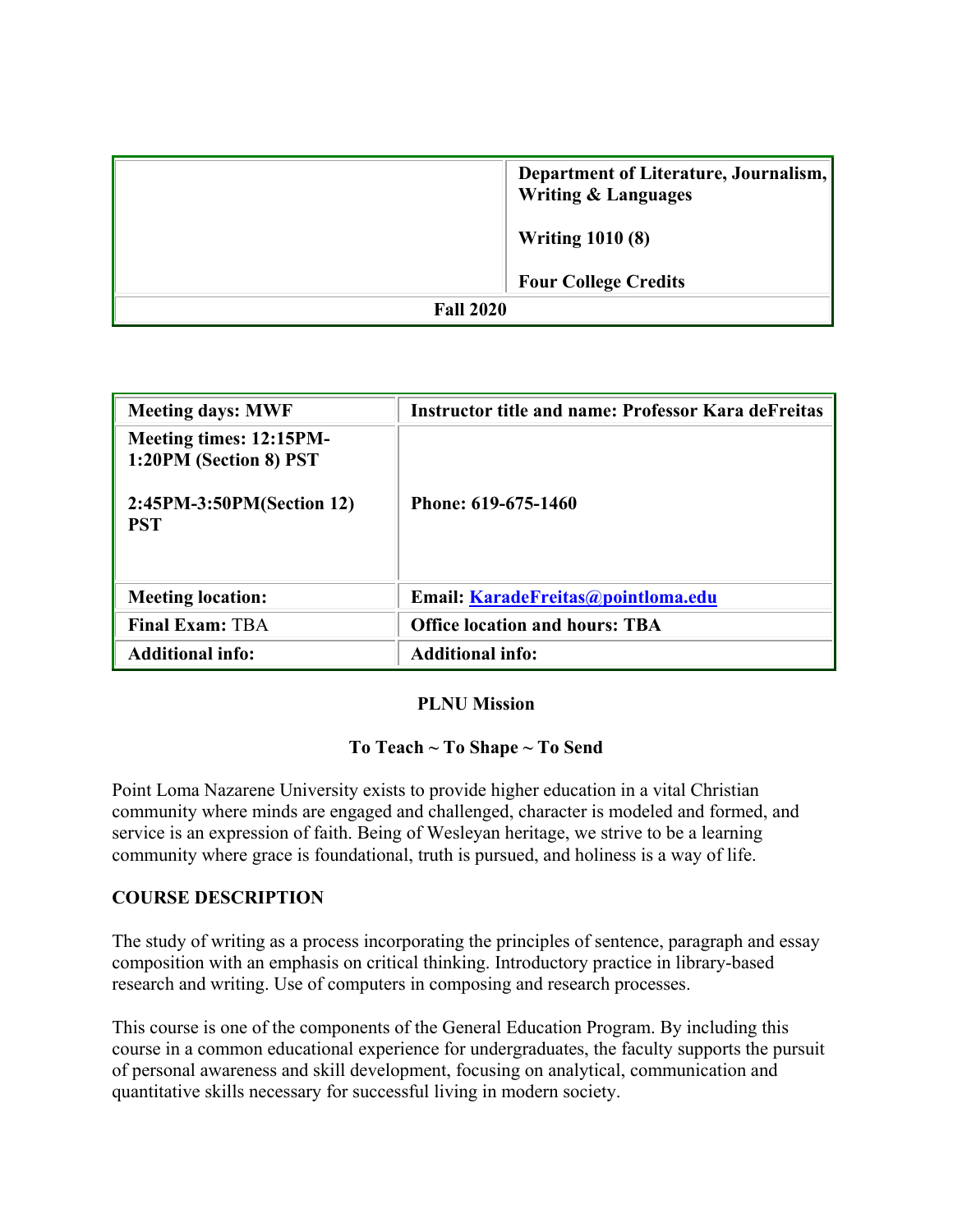|                  | Department of Literature, Journalism,<br><b>Writing &amp; Languages</b> |  |
|------------------|-------------------------------------------------------------------------|--|
|                  | <b>Writing 1010 (8)</b>                                                 |  |
|                  | <b>Four College Credits</b>                                             |  |
| <b>Fall 2020</b> |                                                                         |  |

| <b>Meeting days: MWF</b>                          | <b>Instructor title and name: Professor Kara deFreitas</b> |
|---------------------------------------------------|------------------------------------------------------------|
| Meeting times: 12:15PM-<br>1:20PM (Section 8) PST |                                                            |
| 2:45PM-3:50PM(Section 12)<br><b>PST</b>           | Phone: 619-675-1460                                        |
| <b>Meeting location:</b>                          | Email: KaradeFreitas@pointloma.edu                         |
| <b>Final Exam: TBA</b>                            | <b>Office location and hours: TBA</b>                      |
| <b>Additional info:</b>                           | <b>Additional info:</b>                                    |

#### **PLNU Mission**

### **To Teach ~ To Shape ~ To Send**

Point Loma Nazarene University exists to provide higher education in a vital Christian community where minds are engaged and challenged, character is modeled and formed, and service is an expression of faith. Being of Wesleyan heritage, we strive to be a learning community where grace is foundational, truth is pursued, and holiness is a way of life.

#### **COURSE DESCRIPTION**

The study of writing as a process incorporating the principles of sentence, paragraph and essay composition with an emphasis on critical thinking. Introductory practice in library-based research and writing. Use of computers in composing and research processes.

This course is one of the components of the General Education Program. By including this course in a common educational experience for undergraduates, the faculty supports the pursuit of personal awareness and skill development, focusing on analytical, communication and quantitative skills necessary for successful living in modern society.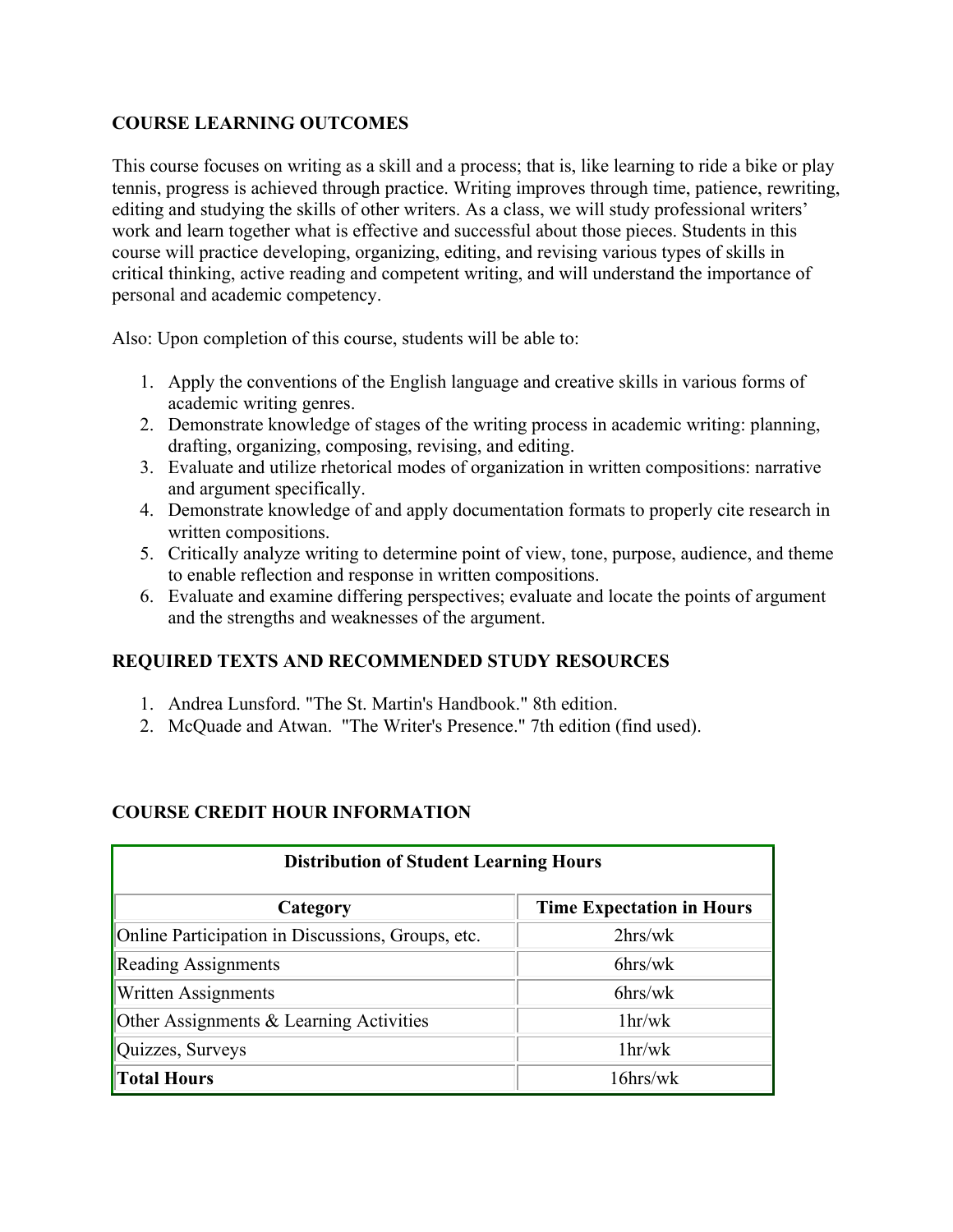### **COURSE LEARNING OUTCOMES**

This course focuses on writing as a skill and a process; that is, like learning to ride a bike or play tennis, progress is achieved through practice. Writing improves through time, patience, rewriting, editing and studying the skills of other writers. As a class, we will study professional writers' work and learn together what is effective and successful about those pieces. Students in this course will practice developing, organizing, editing, and revising various types of skills in critical thinking, active reading and competent writing, and will understand the importance of personal and academic competency.

Also: Upon completion of this course, students will be able to:

- 1. Apply the conventions of the English language and creative skills in various forms of academic writing genres.
- 2. Demonstrate knowledge of stages of the writing process in academic writing: planning, drafting, organizing, composing, revising, and editing.
- 3. Evaluate and utilize rhetorical modes of organization in written compositions: narrative and argument specifically.
- 4. Demonstrate knowledge of and apply documentation formats to properly cite research in written compositions.
- 5. Critically analyze writing to determine point of view, tone, purpose, audience, and theme to enable reflection and response in written compositions.
- 6. Evaluate and examine differing perspectives; evaluate and locate the points of argument and the strengths and weaknesses of the argument.

### **REQUIRED TEXTS AND RECOMMENDED STUDY RESOURCES**

- 1. Andrea Lunsford. "The St. Martin's Handbook." 8th edition.
- 2. McQuade and Atwan. "The Writer's Presence." 7th edition (find used).

### **COURSE CREDIT HOUR INFORMATION**

| <b>Distribution of Student Learning Hours</b>     |                                  |  |  |  |
|---------------------------------------------------|----------------------------------|--|--|--|
| Category                                          | <b>Time Expectation in Hours</b> |  |  |  |
| Online Participation in Discussions, Groups, etc. | 2hrs/wk                          |  |  |  |
| <b>Reading Assignments</b>                        | $6$ hrs/w $k$                    |  |  |  |
| <b>Written Assignments</b>                        | $6$ hrs/w $k$                    |  |  |  |
| Other Assignments & Learning Activities           | 1 <sub>hr</sub> /w <sub>k</sub>  |  |  |  |
| Quizzes, Surveys                                  | 1 <sub>hr</sub> /w <sub>k</sub>  |  |  |  |
| <b>Total Hours</b>                                | $16$ hrs/wk                      |  |  |  |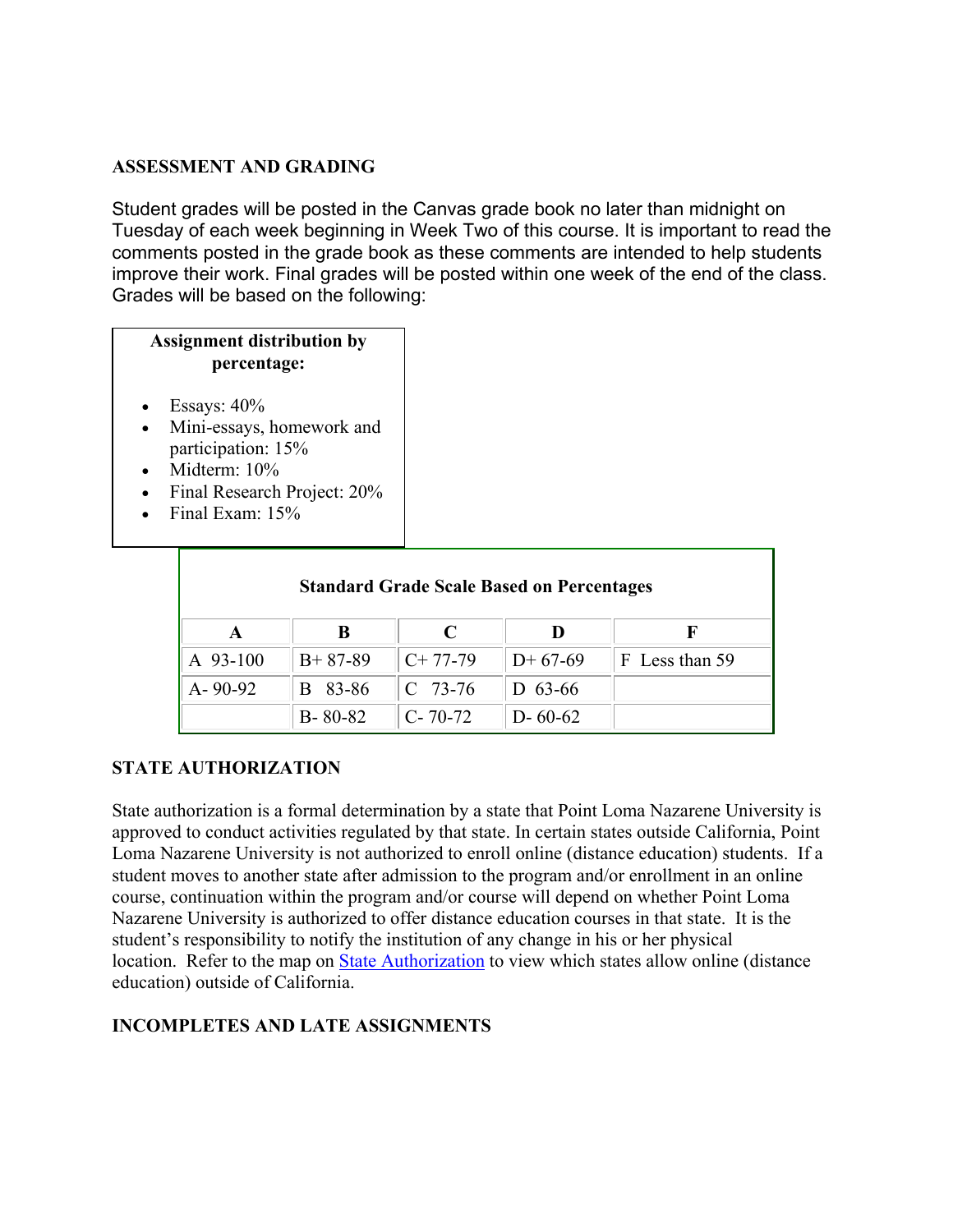#### **ASSESSMENT AND GRADING**

Student grades will be posted in the Canvas grade book no later than midnight on Tuesday of each week beginning in Week Two of this course. It is important to read the comments posted in the grade book as these comments are intended to help students improve their work. Final grades will be posted within one week of the end of the class. Grades will be based on the following:

## **Assignment distribution by percentage:**

- Essays:  $40\%$
- Mini-essays, homework and participation: 15%
- Midterm:  $10\%$
- Final Research Project: 20%
- Final Exam:  $15%$

| <b>Standard Grade Scale Based on Percentages</b> |               |               |               |                |  |  |
|--------------------------------------------------|---------------|---------------|---------------|----------------|--|--|
|                                                  | B             | C             |               |                |  |  |
| A 93-100                                         | $B+87-89$     | $C+77-79$     | $D+67-69$     | F Less than 59 |  |  |
| $A - 90 - 92$                                    | 83-86<br>B    | $C$ 73-76     | $D$ 63-66     |                |  |  |
|                                                  | $B - 80 - 82$ | $C - 70 - 72$ | $D - 60 - 62$ |                |  |  |

### **STATE AUTHORIZATION**

State authorization is a formal determination by a state that Point Loma Nazarene University is approved to conduct activities regulated by that state. In certain states outside California, Point Loma Nazarene University is not authorized to enroll online (distance education) students. If a student moves to another state after admission to the program and/or enrollment in an online course, continuation within the program and/or course will depend on whether Point Loma Nazarene University is authorized to offer distance education courses in that state. It is the student's responsibility to notify the institution of any change in his or her physical location. Refer to the map on [State Authorization](https://www.pointloma.edu/offices/office-institutional-effectiveness-research/disclosures) to view which states allow online (distance education) outside of California.

### **INCOMPLETES AND LATE ASSIGNMENTS**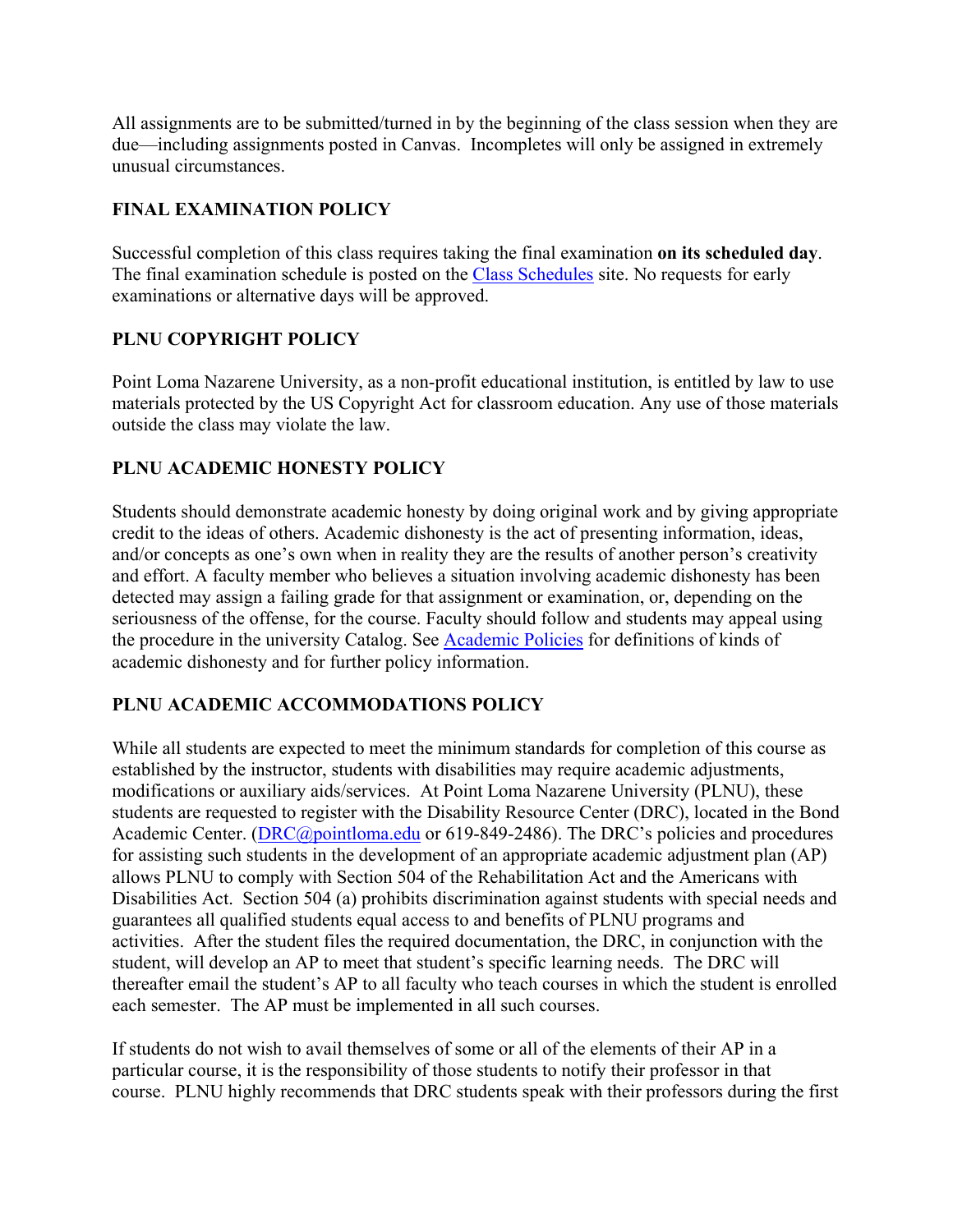All assignments are to be submitted/turned in by the beginning of the class session when they are due—including assignments posted in Canvas. Incompletes will only be assigned in extremely unusual circumstances.

# **FINAL EXAMINATION POLICY**

Successful completion of this class requires taking the final examination **on its scheduled day**. The final examination schedule is posted on the [Class Schedules](http://www.pointloma.edu/experience/academics/class-schedules) site. No requests for early examinations or alternative days will be approved.

### **PLNU COPYRIGHT POLICY**

Point Loma Nazarene University, as a non-profit educational institution, is entitled by law to use materials protected by the US Copyright Act for classroom education. Any use of those materials outside the class may violate the law.

## **PLNU ACADEMIC HONESTY POLICY**

Students should demonstrate academic honesty by doing original work and by giving appropriate credit to the ideas of others. Academic dishonesty is the act of presenting information, ideas, and/or concepts as one's own when in reality they are the results of another person's creativity and effort. A faculty member who believes a situation involving academic dishonesty has been detected may assign a failing grade for that assignment or examination, or, depending on the seriousness of the offense, for the course. Faculty should follow and students may appeal using the procedure in the university Catalog. See [Academic Policies](http://catalog.pointloma.edu/content.php?catoid=18&navoid=1278) for definitions of kinds of academic dishonesty and for further policy information.

# **PLNU ACADEMIC ACCOMMODATIONS POLICY**

While all students are expected to meet the minimum standards for completion of this course as established by the instructor, students with disabilities may require academic adjustments, modifications or auxiliary aids/services. At Point Loma Nazarene University (PLNU), these students are requested to register with the Disability Resource Center (DRC), located in the Bond Academic Center. [\(DRC@pointloma.edu](mailto:DRC@pointloma.edu) or 619-849-2486). The DRC's policies and procedures for assisting such students in the development of an appropriate academic adjustment plan (AP) allows PLNU to comply with Section 504 of the Rehabilitation Act and the Americans with Disabilities Act. Section 504 (a) prohibits discrimination against students with special needs and guarantees all qualified students equal access to and benefits of PLNU programs and activities. After the student files the required documentation, the DRC, in conjunction with the student, will develop an AP to meet that student's specific learning needs. The DRC will thereafter email the student's AP to all faculty who teach courses in which the student is enrolled each semester. The AP must be implemented in all such courses.

If students do not wish to avail themselves of some or all of the elements of their AP in a particular course, it is the responsibility of those students to notify their professor in that course. PLNU highly recommends that DRC students speak with their professors during the first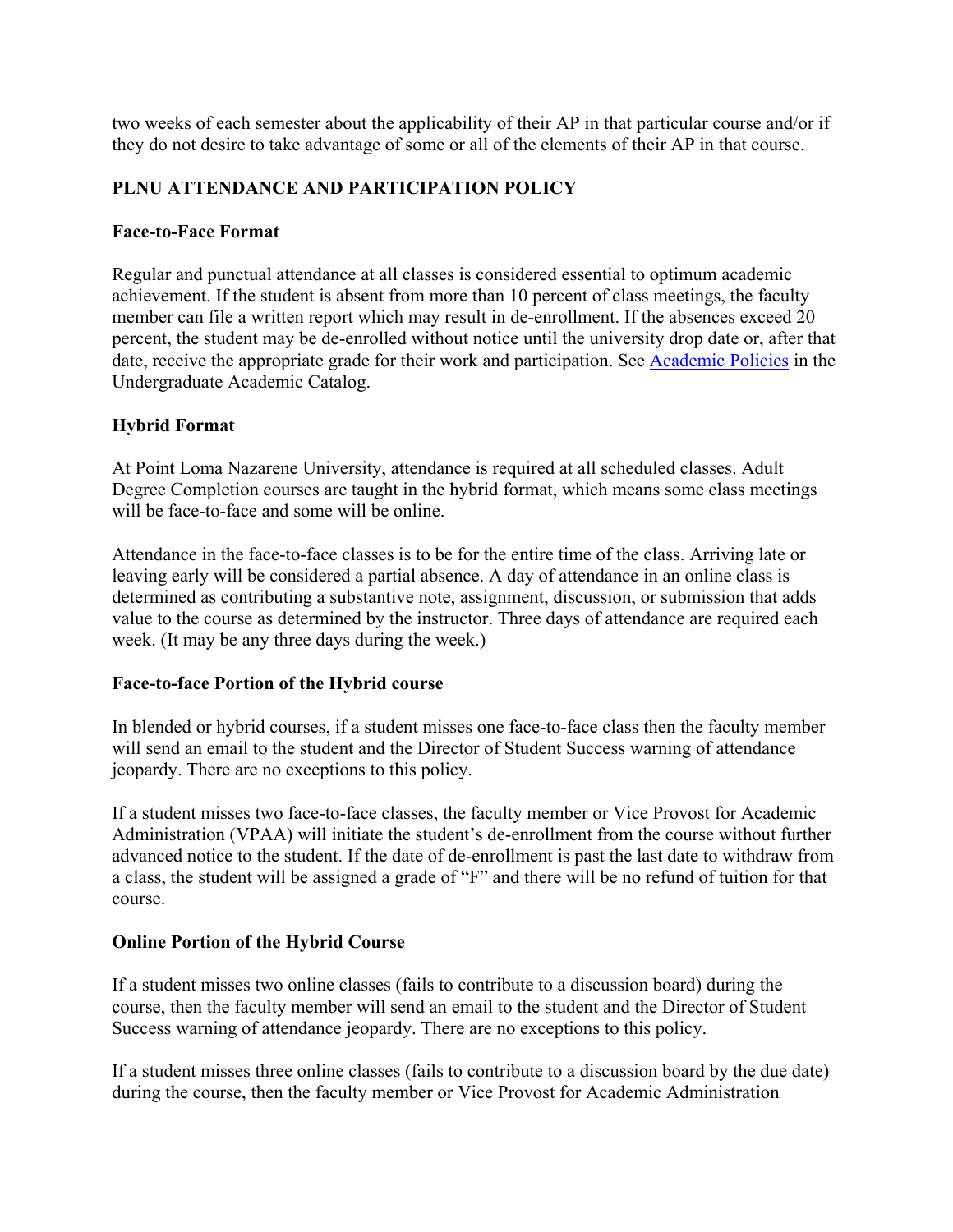two weeks of each semester about the applicability of their AP in that particular course and/or if they do not desire to take advantage of some or all of the elements of their AP in that course.

### **PLNU ATTENDANCE AND PARTICIPATION POLICY**

#### **Face-to-Face Format**

Regular and punctual attendance at all classes is considered essential to optimum academic achievement. If the student is absent from more than 10 percent of class meetings, the faculty member can file a written report which may result in de-enrollment. If the absences exceed 20 percent, the student may be de-enrolled without notice until the university drop date or, after that date, receive the appropriate grade for their work and participation. See [Academic Policies](http://catalog.pointloma.edu/content.php?catoid=18&navoid=1278) in the Undergraduate Academic Catalog.

### **Hybrid Format**

At Point Loma Nazarene University, attendance is required at all scheduled classes. Adult Degree Completion courses are taught in the hybrid format, which means some class meetings will be face-to-face and some will be online.

Attendance in the face-to-face classes is to be for the entire time of the class. Arriving late or leaving early will be considered a partial absence. A day of attendance in an online class is determined as contributing a substantive note, assignment, discussion, or submission that adds value to the course as determined by the instructor. Three days of attendance are required each week. (It may be any three days during the week.)

### **Face-to-face Portion of the Hybrid course**

In blended or hybrid courses, if a student misses one face-to-face class then the faculty member will send an email to the student and the Director of Student Success warning of attendance jeopardy. There are no exceptions to this policy.

If a student misses two face-to-face classes, the faculty member or Vice Provost for Academic Administration (VPAA) will initiate the student's de-enrollment from the course without further advanced notice to the student. If the date of de-enrollment is past the last date to withdraw from a class, the student will be assigned a grade of "F" and there will be no refund of tuition for that course.

### **Online Portion of the Hybrid Course**

If a student misses two online classes (fails to contribute to a discussion board) during the course, then the faculty member will send an email to the student and the Director of Student Success warning of attendance jeopardy. There are no exceptions to this policy.

If a student misses three online classes (fails to contribute to a discussion board by the due date) during the course, then the faculty member or Vice Provost for Academic Administration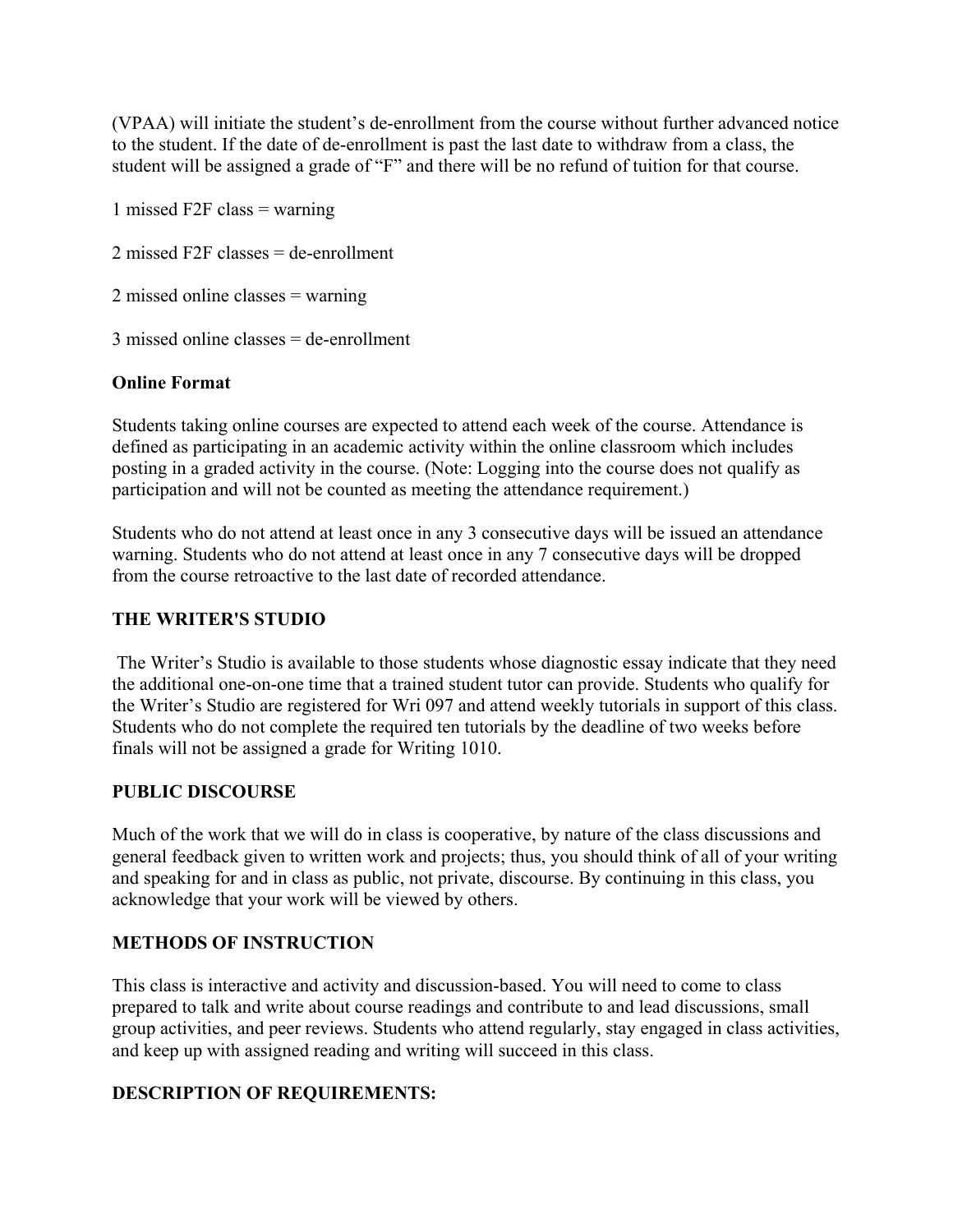(VPAA) will initiate the student's de-enrollment from the course without further advanced notice to the student. If the date of de-enrollment is past the last date to withdraw from a class, the student will be assigned a grade of "F" and there will be no refund of tuition for that course.

1 missed F2F class = warning

2 missed F2F classes = de-enrollment

2 missed online classes = warning

3 missed online classes = de-enrollment

### **Online Format**

Students taking online courses are expected to attend each week of the course. Attendance is defined as participating in an academic activity within the online classroom which includes posting in a graded activity in the course. (Note: Logging into the course does not qualify as participation and will not be counted as meeting the attendance requirement.)

Students who do not attend at least once in any 3 consecutive days will be issued an attendance warning. Students who do not attend at least once in any 7 consecutive days will be dropped from the course retroactive to the last date of recorded attendance.

### **THE WRITER'S STUDIO**

The Writer's Studio is available to those students whose diagnostic essay indicate that they need the additional one-on-one time that a trained student tutor can provide. Students who qualify for the Writer's Studio are registered for Wri 097 and attend weekly tutorials in support of this class. Students who do not complete the required ten tutorials by the deadline of two weeks before finals will not be assigned a grade for Writing 1010.

### **PUBLIC DISCOURSE**

Much of the work that we will do in class is cooperative, by nature of the class discussions and general feedback given to written work and projects; thus, you should think of all of your writing and speaking for and in class as public, not private, discourse. By continuing in this class, you acknowledge that your work will be viewed by others.

### **METHODS OF INSTRUCTION**

This class is interactive and activity and discussion-based. You will need to come to class prepared to talk and write about course readings and contribute to and lead discussions, small group activities, and peer reviews. Students who attend regularly, stay engaged in class activities, and keep up with assigned reading and writing will succeed in this class.

### **DESCRIPTION OF REQUIREMENTS:**